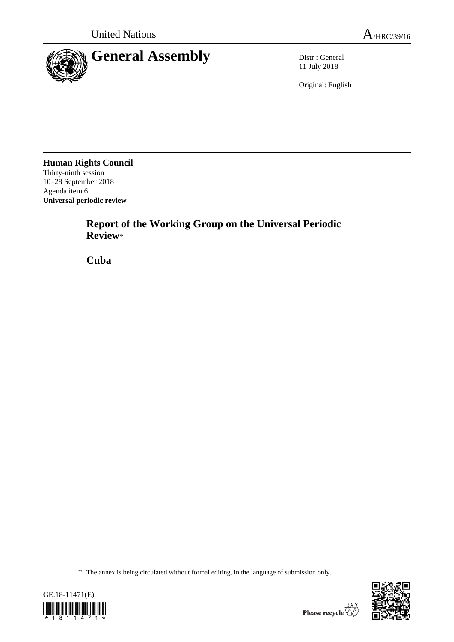

11 July 2018

Original: English

**Human Rights Council** Thirty-ninth session 10–28 September 2018 Agenda item 6 **Universal periodic review**

> **Report of the Working Group on the Universal Periodic Review**\*

**Cuba**

<sup>\*</sup> The annex is being circulated without formal editing, in the language of submission only.



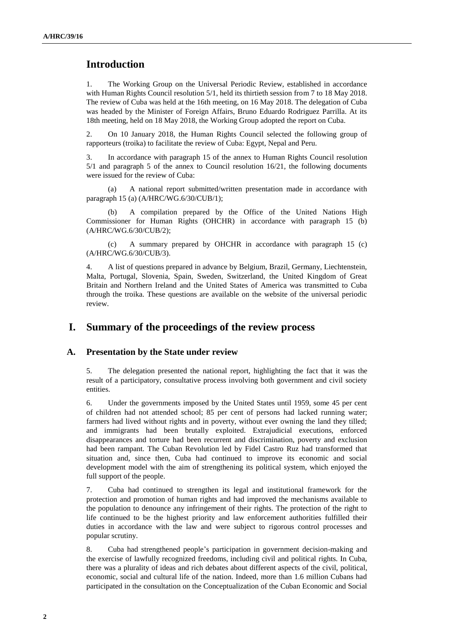# **Introduction**

1. The Working Group on the Universal Periodic Review, established in accordance with Human Rights Council resolution 5/1, held its thirtieth session from 7 to 18 May 2018. The review of Cuba was held at the 16th meeting, on 16 May 2018. The delegation of Cuba was headed by the Minister of Foreign Affairs, Bruno Eduardo Rodriguez Parrilla. At its 18th meeting, held on 18 May 2018, the Working Group adopted the report on Cuba.

2. On 10 January 2018, the Human Rights Council selected the following group of rapporteurs (troika) to facilitate the review of Cuba: Egypt, Nepal and Peru.

3. In accordance with paragraph 15 of the annex to Human Rights Council resolution 5/1 and paragraph 5 of the annex to Council resolution 16/21, the following documents were issued for the review of Cuba:

(a) A national report submitted/written presentation made in accordance with paragraph 15 (a) (A/HRC/WG.6/30/CUB/1);

(b) A compilation prepared by the Office of the United Nations High Commissioner for Human Rights (OHCHR) in accordance with paragraph 15 (b) (A/HRC/WG.6/30/CUB/2);

(c) A summary prepared by OHCHR in accordance with paragraph 15 (c) (A/HRC/WG.6/30/CUB/3).

4. A list of questions prepared in advance by Belgium, Brazil, Germany, Liechtenstein, Malta, Portugal, Slovenia, Spain, Sweden, Switzerland, the United Kingdom of Great Britain and Northern Ireland and the United States of America was transmitted to Cuba through the troika. These questions are available on the website of the universal periodic review.

## **I. Summary of the proceedings of the review process**

#### **A. Presentation by the State under review**

5. The delegation presented the national report, highlighting the fact that it was the result of a participatory, consultative process involving both government and civil society entities.

6. Under the governments imposed by the United States until 1959, some 45 per cent of children had not attended school; 85 per cent of persons had lacked running water; farmers had lived without rights and in poverty, without ever owning the land they tilled; and immigrants had been brutally exploited. Extrajudicial executions, enforced disappearances and torture had been recurrent and discrimination, poverty and exclusion had been rampant. The Cuban Revolution led by Fidel Castro Ruz had transformed that situation and, since then, Cuba had continued to improve its economic and social development model with the aim of strengthening its political system, which enjoyed the full support of the people.

7. Cuba had continued to strengthen its legal and institutional framework for the protection and promotion of human rights and had improved the mechanisms available to the population to denounce any infringement of their rights. The protection of the right to life continued to be the highest priority and law enforcement authorities fulfilled their duties in accordance with the law and were subject to rigorous control processes and popular scrutiny.

8. Cuba had strengthened people's participation in government decision-making and the exercise of lawfully recognized freedoms, including civil and political rights. In Cuba, there was a plurality of ideas and rich debates about different aspects of the civil, political, economic, social and cultural life of the nation. Indeed, more than 1.6 million Cubans had participated in the consultation on the Conceptualization of the Cuban Economic and Social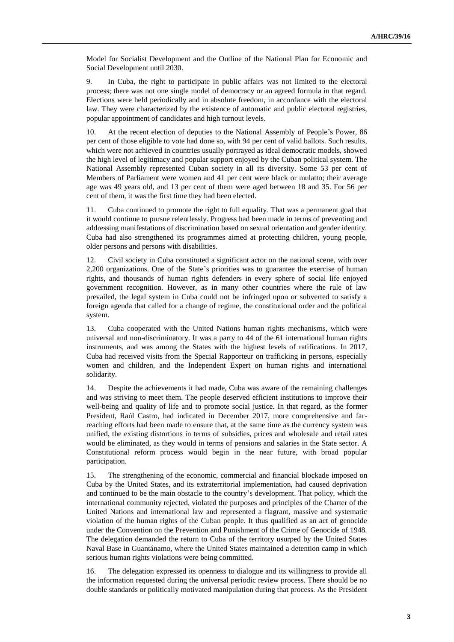Model for Socialist Development and the Outline of the National Plan for Economic and Social Development until 2030.

9. In Cuba, the right to participate in public affairs was not limited to the electoral process; there was not one single model of democracy or an agreed formula in that regard. Elections were held periodically and in absolute freedom, in accordance with the electoral law. They were characterized by the existence of automatic and public electoral registries, popular appointment of candidates and high turnout levels.

10. At the recent election of deputies to the National Assembly of People's Power, 86 per cent of those eligible to vote had done so, with 94 per cent of valid ballots. Such results, which were not achieved in countries usually portrayed as ideal democratic models, showed the high level of legitimacy and popular support enjoyed by the Cuban political system. The National Assembly represented Cuban society in all its diversity. Some 53 per cent of Members of Parliament were women and 41 per cent were black or mulatto; their average age was 49 years old, and 13 per cent of them were aged between 18 and 35. For 56 per cent of them, it was the first time they had been elected.

11. Cuba continued to promote the right to full equality. That was a permanent goal that it would continue to pursue relentlessly. Progress had been made in terms of preventing and addressing manifestations of discrimination based on sexual orientation and gender identity. Cuba had also strengthened its programmes aimed at protecting children, young people, older persons and persons with disabilities.

12. Civil society in Cuba constituted a significant actor on the national scene, with over 2,200 organizations. One of the State's priorities was to guarantee the exercise of human rights, and thousands of human rights defenders in every sphere of social life enjoyed government recognition. However, as in many other countries where the rule of law prevailed, the legal system in Cuba could not be infringed upon or subverted to satisfy a foreign agenda that called for a change of regime, the constitutional order and the political system.

13. Cuba cooperated with the United Nations human rights mechanisms, which were universal and non-discriminatory. It was a party to 44 of the 61 international human rights instruments, and was among the States with the highest levels of ratifications. In 2017, Cuba had received visits from the Special Rapporteur on trafficking in persons, especially women and children, and the Independent Expert on human rights and international solidarity.

14. Despite the achievements it had made, Cuba was aware of the remaining challenges and was striving to meet them. The people deserved efficient institutions to improve their well-being and quality of life and to promote social justice. In that regard, as the former President, Raúl Castro, had indicated in December 2017, more comprehensive and farreaching efforts had been made to ensure that, at the same time as the currency system was unified, the existing distortions in terms of subsidies, prices and wholesale and retail rates would be eliminated, as they would in terms of pensions and salaries in the State sector. A Constitutional reform process would begin in the near future, with broad popular participation.

15. The strengthening of the economic, commercial and financial blockade imposed on Cuba by the United States, and its extraterritorial implementation, had caused deprivation and continued to be the main obstacle to the country's development. That policy, which the international community rejected, violated the purposes and principles of the Charter of the United Nations and international law and represented a flagrant, massive and systematic violation of the human rights of the Cuban people. It thus qualified as an act of genocide under the Convention on the Prevention and Punishment of the Crime of Genocide of 1948. The delegation demanded the return to Cuba of the territory usurped by the United States Naval Base in Guantánamo, where the United States maintained a detention camp in which serious human rights violations were being committed.

16. The delegation expressed its openness to dialogue and its willingness to provide all the information requested during the universal periodic review process. There should be no double standards or politically motivated manipulation during that process. As the President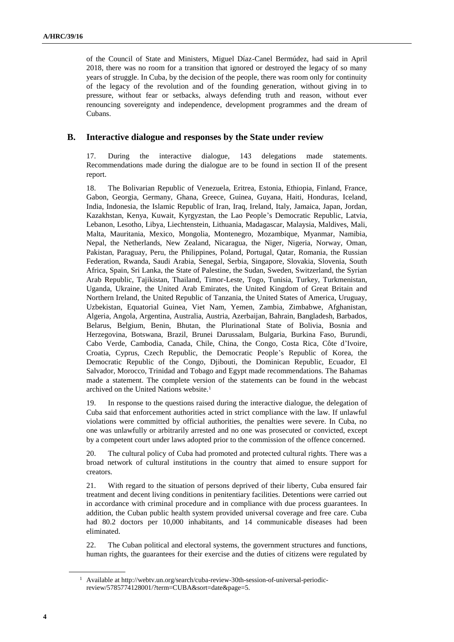of the Council of State and Ministers, Miguel Díaz-Canel Bermúdez, had said in April 2018, there was no room for a transition that ignored or destroyed the legacy of so many years of struggle. In Cuba, by the decision of the people, there was room only for continuity of the legacy of the revolution and of the founding generation, without giving in to pressure, without fear or setbacks, always defending truth and reason, without ever renouncing sovereignty and independence, development programmes and the dream of Cubans.

#### **B. Interactive dialogue and responses by the State under review**

17. During the interactive dialogue, 143 delegations made statements. Recommendations made during the dialogue are to be found in section II of the present report.

18. The Bolivarian Republic of Venezuela, Eritrea, Estonia, Ethiopia, Finland, France, Gabon, Georgia, Germany, Ghana, Greece, Guinea, Guyana, Haiti, Honduras, Iceland, India, Indonesia, the Islamic Republic of Iran, Iraq, Ireland, Italy, Jamaica, Japan, Jordan, Kazakhstan, Kenya, Kuwait, Kyrgyzstan, the Lao People's Democratic Republic, Latvia, Lebanon, Lesotho, Libya, Liechtenstein, Lithuania, Madagascar, Malaysia, Maldives, Mali, Malta, Mauritania, Mexico, Mongolia, Montenegro, Mozambique, Myanmar, Namibia, Nepal, the Netherlands, New Zealand, Nicaragua, the Niger, Nigeria, Norway, Oman, Pakistan, Paraguay, Peru, the Philippines, Poland, Portugal, Qatar, Romania, the Russian Federation, Rwanda, Saudi Arabia, Senegal, Serbia, Singapore, Slovakia, Slovenia, South Africa, Spain, Sri Lanka, the State of Palestine, the Sudan, Sweden, Switzerland, the Syrian Arab Republic, Tajikistan, Thailand, Timor-Leste, Togo, Tunisia, Turkey, Turkmenistan, Uganda, Ukraine, the United Arab Emirates, the United Kingdom of Great Britain and Northern Ireland, the United Republic of Tanzania, the United States of America, Uruguay, Uzbekistan, Equatorial Guinea, Viet Nam, Yemen, Zambia, Zimbabwe, Afghanistan, Algeria, Angola, Argentina, Australia, Austria, Azerbaijan, Bahrain, Bangladesh, Barbados, Belarus, Belgium, Benin, Bhutan, the Plurinational State of Bolivia, Bosnia and Herzegovina, Botswana, Brazil, Brunei Darussalam, Bulgaria, Burkina Faso, Burundi, Cabo Verde, Cambodia, Canada, Chile, China, the Congo, Costa Rica, Côte d'Ivoire, Croatia, Cyprus, Czech Republic, the Democratic People's Republic of Korea, the Democratic Republic of the Congo, Djibouti, the Dominican Republic, Ecuador, El Salvador, Morocco, Trinidad and Tobago and Egypt made recommendations. The Bahamas made a statement. The complete version of the statements can be found in the webcast archived on the United Nations website.<sup>1</sup>

19. In response to the questions raised during the interactive dialogue, the delegation of Cuba said that enforcement authorities acted in strict compliance with the law. If unlawful violations were committed by official authorities, the penalties were severe. In Cuba, no one was unlawfully or arbitrarily arrested and no one was prosecuted or convicted, except by a competent court under laws adopted prior to the commission of the offence concerned.

20. The cultural policy of Cuba had promoted and protected cultural rights. There was a broad network of cultural institutions in the country that aimed to ensure support for creators.

21. With regard to the situation of persons deprived of their liberty, Cuba ensured fair treatment and decent living conditions in penitentiary facilities. Detentions were carried out in accordance with criminal procedure and in compliance with due process guarantees. In addition, the Cuban public health system provided universal coverage and free care. Cuba had 80.2 doctors per 10,000 inhabitants, and 14 communicable diseases had been eliminated.

22. The Cuban political and electoral systems, the government structures and functions, human rights, the guarantees for their exercise and the duties of citizens were regulated by

<sup>1</sup> Available at http://webtv.un.org/search/cuba-review-30th-session-of-universal-periodicreview/5785774128001/?term=CUBA&sort=date&page=5.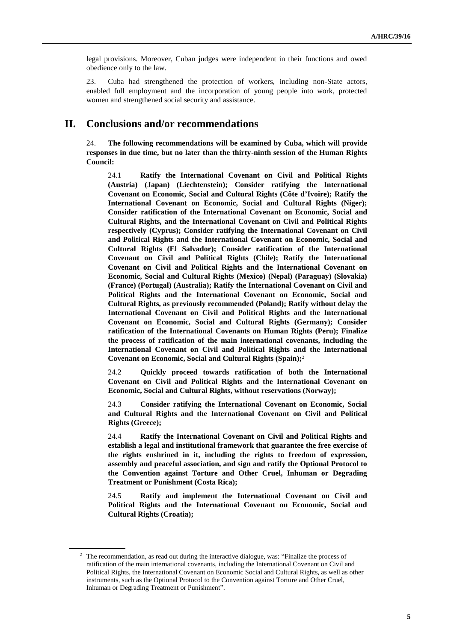legal provisions. Moreover, Cuban judges were independent in their functions and owed obedience only to the law.

23. Cuba had strengthened the protection of workers, including non-State actors, enabled full employment and the incorporation of young people into work, protected women and strengthened social security and assistance.

## **II. Conclusions and/or recommendations**

24. **The following recommendations will be examined by Cuba, which will provide responses in due time, but no later than the thirty-ninth session of the Human Rights Council:**

24.1 **Ratify the International Covenant on Civil and Political Rights (Austria) (Japan) (Liechtenstein); Consider ratifying the International Covenant on Economic, Social and Cultural Rights (Côte d'Ivoire); Ratify the International Covenant on Economic, Social and Cultural Rights (Niger); Consider ratification of the International Covenant on Economic, Social and Cultural Rights, and the International Covenant on Civil and Political Rights respectively (Cyprus); Consider ratifying the International Covenant on Civil and Political Rights and the International Covenant on Economic, Social and Cultural Rights (El Salvador); Consider ratification of the International Covenant on Civil and Political Rights (Chile); Ratify the International Covenant on Civil and Political Rights and the International Covenant on Economic, Social and Cultural Rights (Mexico) (Nepal) (Paraguay) (Slovakia) (France) (Portugal) (Australia); Ratify the International Covenant on Civil and Political Rights and the International Covenant on Economic, Social and Cultural Rights, as previously recommended (Poland); Ratify without delay the International Covenant on Civil and Political Rights and the International Covenant on Economic, Social and Cultural Rights (Germany); Consider ratification of the International Covenants on Human Rights (Peru); Finalize the process of ratification of the main international covenants, including the International Covenant on Civil and Political Rights and the International Covenant on Economic, Social and Cultural Rights (Spain);**<sup>2</sup>

24.2 **Quickly proceed towards ratification of both the International Covenant on Civil and Political Rights and the International Covenant on Economic, Social and Cultural Rights, without reservations (Norway);**

24.3 **Consider ratifying the International Covenant on Economic, Social and Cultural Rights and the International Covenant on Civil and Political Rights (Greece);**

24.4 **Ratify the International Covenant on Civil and Political Rights and establish a legal and institutional framework that guarantee the free exercise of the rights enshrined in it, including the rights to freedom of expression, assembly and peaceful association, and sign and ratify the Optional Protocol to the Convention against Torture and Other Cruel, Inhuman or Degrading Treatment or Punishment (Costa Rica);**

24.5 **Ratify and implement the International Covenant on Civil and Political Rights and the International Covenant on Economic, Social and Cultural Rights (Croatia);**

<sup>&</sup>lt;sup>2</sup> The recommendation, as read out during the interactive dialogue, was: "Finalize the process of ratification of the main international covenants, including the International Covenant on Civil and Political Rights, the International Covenant on Economic Social and Cultural Rights, as well as other instruments, such as the Optional Protocol to the Convention against Torture and Other Cruel, Inhuman or Degrading Treatment or Punishment".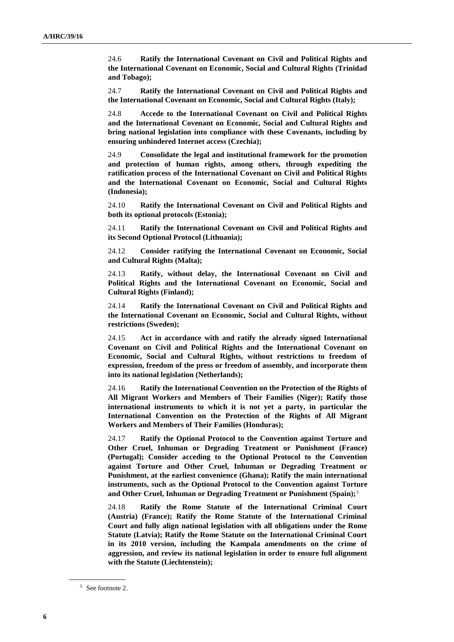24.6 **Ratify the International Covenant on Civil and Political Rights and the International Covenant on Economic, Social and Cultural Rights (Trinidad and Tobago);**

24.7 **Ratify the International Covenant on Civil and Political Rights and the International Covenant on Economic, Social and Cultural Rights (Italy);**

24.8 **Accede to the International Covenant on Civil and Political Rights and the International Covenant on Economic, Social and Cultural Rights and bring national legislation into compliance with these Covenants, including by ensuring unhindered Internet access (Czechia);**

24.9 **Consolidate the legal and institutional framework for the promotion and protection of human rights, among others, through expediting the ratification process of the International Covenant on Civil and Political Rights and the International Covenant on Economic, Social and Cultural Rights (Indonesia);**

24.10 **Ratify the International Covenant on Civil and Political Rights and both its optional protocols (Estonia);**

24.11 **Ratify the International Covenant on Civil and Political Rights and its Second Optional Protocol (Lithuania);**

24.12 **Consider ratifying the International Covenant on Economic, Social and Cultural Rights (Malta);**

24.13 **Ratify, without delay, the International Covenant on Civil and Political Rights and the International Covenant on Economic, Social and Cultural Rights (Finland);**

24.14 **Ratify the International Covenant on Civil and Political Rights and the International Covenant on Economic, Social and Cultural Rights, without restrictions (Sweden);**

24.15 **Act in accordance with and ratify the already signed International Covenant on Civil and Political Rights and the International Covenant on Economic, Social and Cultural Rights, without restrictions to freedom of expression, freedom of the press or freedom of assembly, and incorporate them into its national legislation (Netherlands);**

24.16 **Ratify the International Convention on the Protection of the Rights of All Migrant Workers and Members of Their Families (Niger); Ratify those international instruments to which it is not yet a party, in particular the International Convention on the Protection of the Rights of All Migrant Workers and Members of Their Families (Honduras);**

24.17 **Ratify the Optional Protocol to the Convention against Torture and Other Cruel, Inhuman or Degrading Treatment or Punishment (France) (Portugal); Consider acceding to the Optional Protocol to the Convention against Torture and Other Cruel, Inhuman or Degrading Treatment or Punishment, at the earliest convenience (Ghana); Ratify the main international instruments, such as the Optional Protocol to the Convention against Torture and Other Cruel, Inhuman or Degrading Treatment or Punishment (Spain);**<sup>3</sup>

24.18 **Ratify the Rome Statute of the International Criminal Court (Austria) (France); Ratify the Rome Statute of the International Criminal Court and fully align national legislation with all obligations under the Rome Statute (Latvia); Ratify the Rome Statute on the International Criminal Court in its 2010 version, including the Kampala amendments on the crime of aggression, and review its national legislation in order to ensure full alignment with the Statute (Liechtenstein);**

<sup>3</sup> See footnote 2.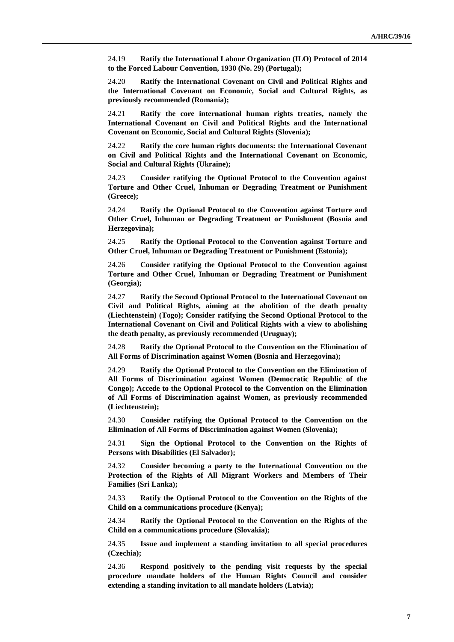24.19 **Ratify the International Labour Organization (ILO) Protocol of 2014 to the Forced Labour Convention, 1930 (No. 29) (Portugal);**

24.20 **Ratify the International Covenant on Civil and Political Rights and the International Covenant on Economic, Social and Cultural Rights, as previously recommended (Romania);**

24.21 **Ratify the core international human rights treaties, namely the International Covenant on Civil and Political Rights and the International Covenant on Economic, Social and Cultural Rights (Slovenia);**

24.22 **Ratify the core human rights documents: the International Covenant on Civil and Political Rights and the International Covenant on Economic, Social and Cultural Rights (Ukraine);**

24.23 **Consider ratifying the Optional Protocol to the Convention against Torture and Other Cruel, Inhuman or Degrading Treatment or Punishment (Greece);**

24.24 **Ratify the Optional Protocol to the Convention against Torture and Other Cruel, Inhuman or Degrading Treatment or Punishment (Bosnia and Herzegovina);**

24.25 **Ratify the Optional Protocol to the Convention against Torture and Other Cruel, Inhuman or Degrading Treatment or Punishment (Estonia);**

24.26 **Consider ratifying the Optional Protocol to the Convention against Torture and Other Cruel, Inhuman or Degrading Treatment or Punishment (Georgia);**

24.27 **Ratify the Second Optional Protocol to the International Covenant on Civil and Political Rights, aiming at the abolition of the death penalty (Liechtenstein) (Togo); Consider ratifying the Second Optional Protocol to the International Covenant on Civil and Political Rights with a view to abolishing the death penalty, as previously recommended (Uruguay);**

24.28 **Ratify the Optional Protocol to the Convention on the Elimination of All Forms of Discrimination against Women (Bosnia and Herzegovina);**

24.29 **Ratify the Optional Protocol to the Convention on the Elimination of All Forms of Discrimination against Women (Democratic Republic of the Congo); Accede to the Optional Protocol to the Convention on the Elimination of All Forms of Discrimination against Women, as previously recommended (Liechtenstein);**

24.30 **Consider ratifying the Optional Protocol to the Convention on the Elimination of All Forms of Discrimination against Women (Slovenia);**

24.31 **Sign the Optional Protocol to the Convention on the Rights of Persons with Disabilities (El Salvador);**

24.32 **Consider becoming a party to the International Convention on the Protection of the Rights of All Migrant Workers and Members of Their Families (Sri Lanka);**

24.33 **Ratify the Optional Protocol to the Convention on the Rights of the Child on a communications procedure (Kenya);**

24.34 **Ratify the Optional Protocol to the Convention on the Rights of the Child on a communications procedure (Slovakia);**

24.35 **Issue and implement a standing invitation to all special procedures (Czechia);**

24.36 **Respond positively to the pending visit requests by the special procedure mandate holders of the Human Rights Council and consider extending a standing invitation to all mandate holders (Latvia);**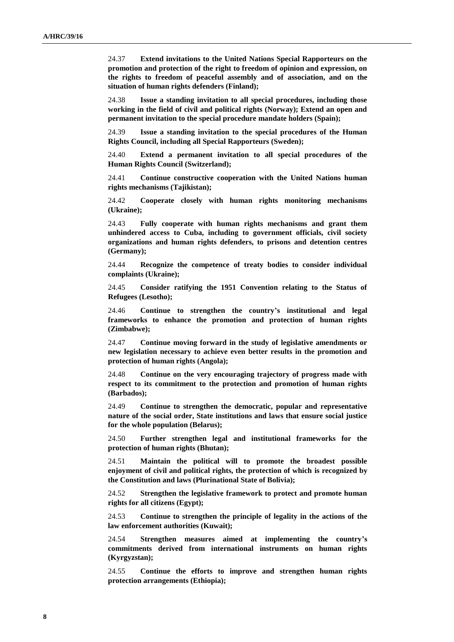24.37 **Extend invitations to the United Nations Special Rapporteurs on the promotion and protection of the right to freedom of opinion and expression, on the rights to freedom of peaceful assembly and of association, and on the situation of human rights defenders (Finland);**

24.38 **Issue a standing invitation to all special procedures, including those working in the field of civil and political rights (Norway); Extend an open and permanent invitation to the special procedure mandate holders (Spain);**

24.39 **Issue a standing invitation to the special procedures of the Human Rights Council, including all Special Rapporteurs (Sweden);**

24.40 **Extend a permanent invitation to all special procedures of the Human Rights Council (Switzerland);**

24.41 **Continue constructive cooperation with the United Nations human rights mechanisms (Tajikistan);**

24.42 **Cooperate closely with human rights monitoring mechanisms (Ukraine);**

24.43 **Fully cooperate with human rights mechanisms and grant them unhindered access to Cuba, including to government officials, civil society organizations and human rights defenders, to prisons and detention centres (Germany);**

24.44 **Recognize the competence of treaty bodies to consider individual complaints (Ukraine);**

24.45 **Consider ratifying the 1951 Convention relating to the Status of Refugees (Lesotho);**

24.46 **Continue to strengthen the country's institutional and legal frameworks to enhance the promotion and protection of human rights (Zimbabwe);**

24.47 **Continue moving forward in the study of legislative amendments or new legislation necessary to achieve even better results in the promotion and protection of human rights (Angola);**

24.48 **Continue on the very encouraging trajectory of progress made with respect to its commitment to the protection and promotion of human rights (Barbados);**

24.49 **Continue to strengthen the democratic, popular and representative nature of the social order, State institutions and laws that ensure social justice for the whole population (Belarus);**

24.50 **Further strengthen legal and institutional frameworks for the protection of human rights (Bhutan);**

24.51 **Maintain the political will to promote the broadest possible enjoyment of civil and political rights, the protection of which is recognized by the Constitution and laws (Plurinational State of Bolivia);**

24.52 **Strengthen the legislative framework to protect and promote human rights for all citizens (Egypt);**

24.53 **Continue to strengthen the principle of legality in the actions of the law enforcement authorities (Kuwait);**

24.54 **Strengthen measures aimed at implementing the country's commitments derived from international instruments on human rights (Kyrgyzstan);**

24.55 **Continue the efforts to improve and strengthen human rights protection arrangements (Ethiopia);**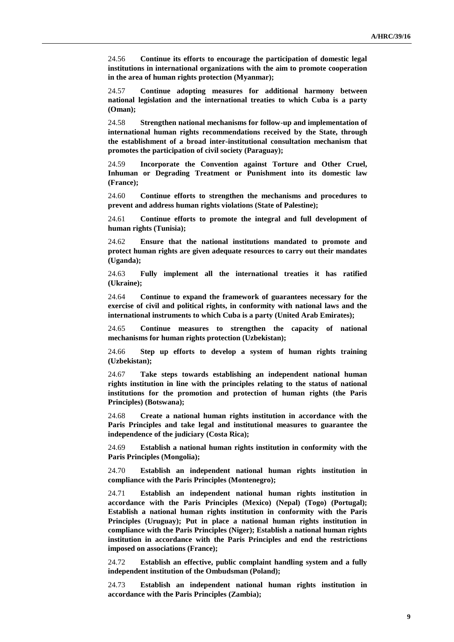24.56 **Continue its efforts to encourage the participation of domestic legal institutions in international organizations with the aim to promote cooperation in the area of human rights protection (Myanmar);**

24.57 **Continue adopting measures for additional harmony between national legislation and the international treaties to which Cuba is a party (Oman);**

24.58 **Strengthen national mechanisms for follow-up and implementation of international human rights recommendations received by the State, through the establishment of a broad inter-institutional consultation mechanism that promotes the participation of civil society (Paraguay);**

24.59 **Incorporate the Convention against Torture and Other Cruel, Inhuman or Degrading Treatment or Punishment into its domestic law (France);**

24.60 **Continue efforts to strengthen the mechanisms and procedures to prevent and address human rights violations (State of Palestine);**

24.61 **Continue efforts to promote the integral and full development of human rights (Tunisia);**

24.62 **Ensure that the national institutions mandated to promote and protect human rights are given adequate resources to carry out their mandates (Uganda);**

24.63 **Fully implement all the international treaties it has ratified (Ukraine);**

24.64 **Continue to expand the framework of guarantees necessary for the exercise of civil and political rights, in conformity with national laws and the international instruments to which Cuba is a party (United Arab Emirates);**

24.65 **Continue measures to strengthen the capacity of national mechanisms for human rights protection (Uzbekistan);**

24.66 **Step up efforts to develop a system of human rights training (Uzbekistan);**

24.67 **Take steps towards establishing an independent national human rights institution in line with the principles relating to the status of national institutions for the promotion and protection of human rights (the Paris Principles) (Botswana);**

24.68 **Create a national human rights institution in accordance with the Paris Principles and take legal and institutional measures to guarantee the independence of the judiciary (Costa Rica);**

24.69 **Establish a national human rights institution in conformity with the Paris Principles (Mongolia);**

24.70 **Establish an independent national human rights institution in compliance with the Paris Principles (Montenegro);**

24.71 **Establish an independent national human rights institution in accordance with the Paris Principles (Mexico) (Nepal) (Togo) (Portugal); Establish a national human rights institution in conformity with the Paris Principles (Uruguay); Put in place a national human rights institution in compliance with the Paris Principles (Niger); Establish a national human rights institution in accordance with the Paris Principles and end the restrictions imposed on associations (France);**

24.72 **Establish an effective, public complaint handling system and a fully independent institution of the Ombudsman (Poland);**

24.73 **Establish an independent national human rights institution in accordance with the Paris Principles (Zambia);**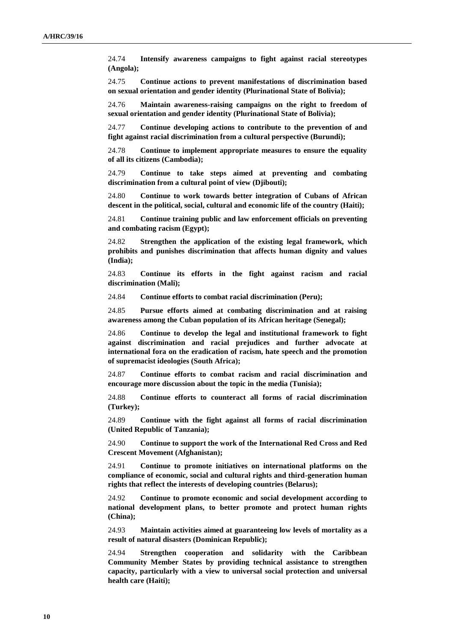24.74 **Intensify awareness campaigns to fight against racial stereotypes (Angola);**

24.75 **Continue actions to prevent manifestations of discrimination based on sexual orientation and gender identity (Plurinational State of Bolivia);**

24.76 **Maintain awareness-raising campaigns on the right to freedom of sexual orientation and gender identity (Plurinational State of Bolivia);**

24.77 **Continue developing actions to contribute to the prevention of and fight against racial discrimination from a cultural perspective (Burundi);**

24.78 **Continue to implement appropriate measures to ensure the equality of all its citizens (Cambodia);**

24.79 **Continue to take steps aimed at preventing and combating discrimination from a cultural point of view (Djibouti);**

24.80 **Continue to work towards better integration of Cubans of African descent in the political, social, cultural and economic life of the country (Haiti);**

24.81 **Continue training public and law enforcement officials on preventing and combating racism (Egypt);**

24.82 **Strengthen the application of the existing legal framework, which prohibits and punishes discrimination that affects human dignity and values (India);**

24.83 **Continue its efforts in the fight against racism and racial discrimination (Mali);**

24.84 **Continue efforts to combat racial discrimination (Peru);**

24.85 **Pursue efforts aimed at combating discrimination and at raising awareness among the Cuban population of its African heritage (Senegal);**

24.86 **Continue to develop the legal and institutional framework to fight against discrimination and racial prejudices and further advocate at international fora on the eradication of racism, hate speech and the promotion of supremacist ideologies (South Africa);**

24.87 **Continue efforts to combat racism and racial discrimination and encourage more discussion about the topic in the media (Tunisia);**

24.88 **Continue efforts to counteract all forms of racial discrimination (Turkey);**

24.89 **Continue with the fight against all forms of racial discrimination (United Republic of Tanzania);**

24.90 **Continue to support the work of the International Red Cross and Red Crescent Movement (Afghanistan);**

24.91 **Continue to promote initiatives on international platforms on the compliance of economic, social and cultural rights and third-generation human rights that reflect the interests of developing countries (Belarus);**

24.92 **Continue to promote economic and social development according to national development plans, to better promote and protect human rights (China);**

24.93 **Maintain activities aimed at guaranteeing low levels of mortality as a result of natural disasters (Dominican Republic);**

24.94 **Strengthen cooperation and solidarity with the Caribbean Community Member States by providing technical assistance to strengthen capacity, particularly with a view to universal social protection and universal health care (Haiti);**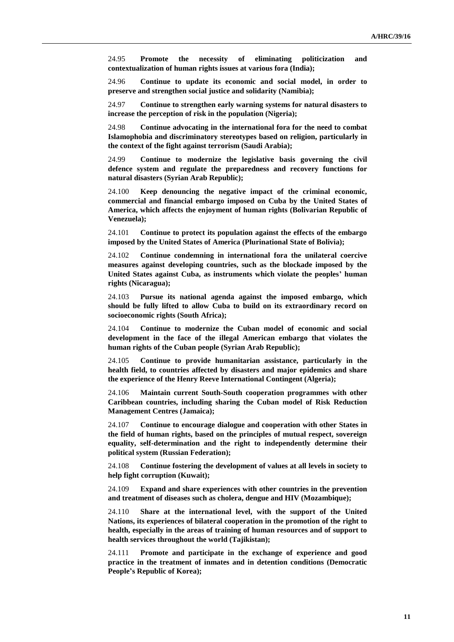24.95 **Promote the necessity of eliminating politicization and contextualization of human rights issues at various fora (India);**

24.96 **Continue to update its economic and social model, in order to preserve and strengthen social justice and solidarity (Namibia);**

24.97 **Continue to strengthen early warning systems for natural disasters to increase the perception of risk in the population (Nigeria);**

24.98 **Continue advocating in the international fora for the need to combat Islamophobia and discriminatory stereotypes based on religion, particularly in the context of the fight against terrorism (Saudi Arabia);**

24.99 **Continue to modernize the legislative basis governing the civil defence system and regulate the preparedness and recovery functions for natural disasters (Syrian Arab Republic);**

24.100 **Keep denouncing the negative impact of the criminal economic, commercial and financial embargo imposed on Cuba by the United States of America, which affects the enjoyment of human rights (Bolivarian Republic of Venezuela);**

24.101 **Continue to protect its population against the effects of the embargo imposed by the United States of America (Plurinational State of Bolivia);**

24.102 **Continue condemning in international fora the unilateral coercive measures against developing countries, such as the blockade imposed by the United States against Cuba, as instruments which violate the peoples' human rights (Nicaragua);**

24.103 **Pursue its national agenda against the imposed embargo, which should be fully lifted to allow Cuba to build on its extraordinary record on socioeconomic rights (South Africa);**

24.104 **Continue to modernize the Cuban model of economic and social development in the face of the illegal American embargo that violates the human rights of the Cuban people (Syrian Arab Republic);**

24.105 **Continue to provide humanitarian assistance, particularly in the health field, to countries affected by disasters and major epidemics and share the experience of the Henry Reeve International Contingent (Algeria);**

24.106 **Maintain current South-South cooperation programmes with other Caribbean countries, including sharing the Cuban model of Risk Reduction Management Centres (Jamaica);**

24.107 **Continue to encourage dialogue and cooperation with other States in the field of human rights, based on the principles of mutual respect, sovereign equality, self-determination and the right to independently determine their political system (Russian Federation);**

24.108 **Continue fostering the development of values at all levels in society to help fight corruption (Kuwait);**

24.109 **Expand and share experiences with other countries in the prevention and treatment of diseases such as cholera, dengue and HIV (Mozambique);**

24.110 **Share at the international level, with the support of the United Nations, its experiences of bilateral cooperation in the promotion of the right to health, especially in the areas of training of human resources and of support to health services throughout the world (Tajikistan);**

24.111 **Promote and participate in the exchange of experience and good practice in the treatment of inmates and in detention conditions (Democratic People's Republic of Korea);**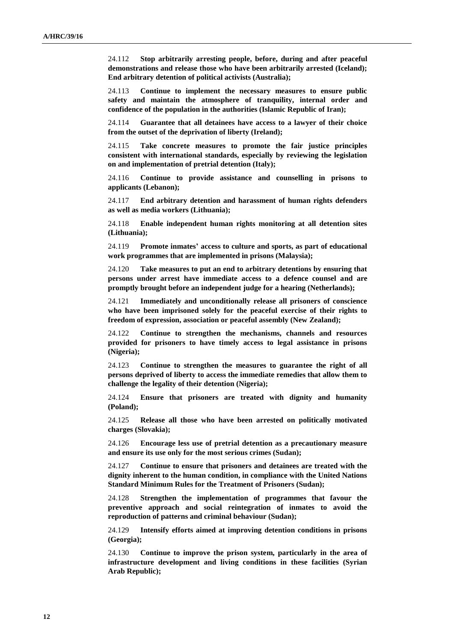24.112 **Stop arbitrarily arresting people, before, during and after peaceful demonstrations and release those who have been arbitrarily arrested (Iceland); End arbitrary detention of political activists (Australia);**

24.113 **Continue to implement the necessary measures to ensure public safety and maintain the atmosphere of tranquility, internal order and confidence of the population in the authorities (Islamic Republic of Iran);**

24.114 **Guarantee that all detainees have access to a lawyer of their choice from the outset of the deprivation of liberty (Ireland);**

24.115 **Take concrete measures to promote the fair justice principles consistent with international standards, especially by reviewing the legislation on and implementation of pretrial detention (Italy);**

24.116 **Continue to provide assistance and counselling in prisons to applicants (Lebanon);**

24.117 **End arbitrary detention and harassment of human rights defenders as well as media workers (Lithuania);**

24.118 **Enable independent human rights monitoring at all detention sites (Lithuania);**

24.119 **Promote inmates' access to culture and sports, as part of educational work programmes that are implemented in prisons (Malaysia);**

24.120 **Take measures to put an end to arbitrary detentions by ensuring that persons under arrest have immediate access to a defence counsel and are promptly brought before an independent judge for a hearing (Netherlands);**

24.121 **Immediately and unconditionally release all prisoners of conscience who have been imprisoned solely for the peaceful exercise of their rights to freedom of expression, association or peaceful assembly (New Zealand);**

24.122 **Continue to strengthen the mechanisms, channels and resources provided for prisoners to have timely access to legal assistance in prisons (Nigeria);**

24.123 **Continue to strengthen the measures to guarantee the right of all persons deprived of liberty to access the immediate remedies that allow them to challenge the legality of their detention (Nigeria);**

24.124 **Ensure that prisoners are treated with dignity and humanity (Poland);**

24.125 **Release all those who have been arrested on politically motivated charges (Slovakia);**

24.126 **Encourage less use of pretrial detention as a precautionary measure and ensure its use only for the most serious crimes (Sudan);**

24.127 **Continue to ensure that prisoners and detainees are treated with the dignity inherent to the human condition, in compliance with the United Nations Standard Minimum Rules for the Treatment of Prisoners (Sudan);**

24.128 **Strengthen the implementation of programmes that favour the preventive approach and social reintegration of inmates to avoid the reproduction of patterns and criminal behaviour (Sudan);**

24.129 **Intensify efforts aimed at improving detention conditions in prisons (Georgia);**

24.130 **Continue to improve the prison system, particularly in the area of infrastructure development and living conditions in these facilities (Syrian Arab Republic);**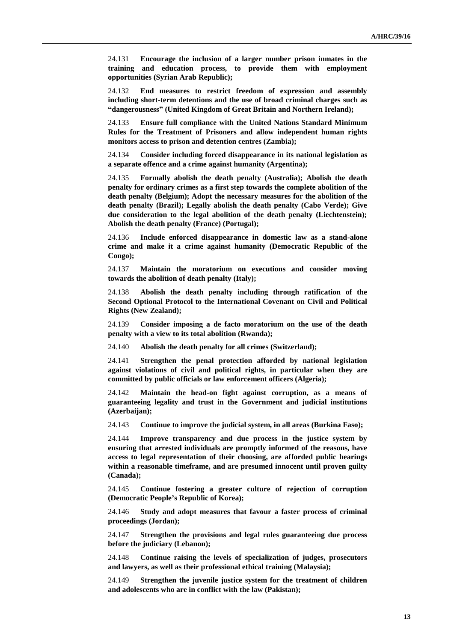24.131 **Encourage the inclusion of a larger number prison inmates in the training and education process, to provide them with employment opportunities (Syrian Arab Republic);**

24.132 **End measures to restrict freedom of expression and assembly including short-term detentions and the use of broad criminal charges such as "dangerousness" (United Kingdom of Great Britain and Northern Ireland);**

24.133 **Ensure full compliance with the United Nations Standard Minimum Rules for the Treatment of Prisoners and allow independent human rights monitors access to prison and detention centres (Zambia);**

24.134 **Consider including forced disappearance in its national legislation as a separate offence and a crime against humanity (Argentina);**

24.135 **Formally abolish the death penalty (Australia); Abolish the death penalty for ordinary crimes as a first step towards the complete abolition of the death penalty (Belgium); Adopt the necessary measures for the abolition of the death penalty (Brazil); Legally abolish the death penalty (Cabo Verde); Give due consideration to the legal abolition of the death penalty (Liechtenstein); Abolish the death penalty (France) (Portugal);**

24.136 **Include enforced disappearance in domestic law as a stand-alone crime and make it a crime against humanity (Democratic Republic of the Congo);**

24.137 **Maintain the moratorium on executions and consider moving towards the abolition of death penalty (Italy);**

24.138 **Abolish the death penalty including through ratification of the Second Optional Protocol to the International Covenant on Civil and Political Rights (New Zealand);**

24.139 **Consider imposing a de facto moratorium on the use of the death penalty with a view to its total abolition (Rwanda);**

24.140 **Abolish the death penalty for all crimes (Switzerland);**

24.141 **Strengthen the penal protection afforded by national legislation against violations of civil and political rights, in particular when they are committed by public officials or law enforcement officers (Algeria);**

24.142 **Maintain the head-on fight against corruption, as a means of guaranteeing legality and trust in the Government and judicial institutions (Azerbaijan);**

24.143 **Continue to improve the judicial system, in all areas (Burkina Faso);**

24.144 **Improve transparency and due process in the justice system by ensuring that arrested individuals are promptly informed of the reasons, have access to legal representation of their choosing, are afforded public hearings within a reasonable timeframe, and are presumed innocent until proven guilty (Canada);**

24.145 **Continue fostering a greater culture of rejection of corruption (Democratic People's Republic of Korea);**

24.146 **Study and adopt measures that favour a faster process of criminal proceedings (Jordan);**

24.147 **Strengthen the provisions and legal rules guaranteeing due process before the judiciary (Lebanon);**

24.148 **Continue raising the levels of specialization of judges, prosecutors and lawyers, as well as their professional ethical training (Malaysia);**

24.149 **Strengthen the juvenile justice system for the treatment of children and adolescents who are in conflict with the law (Pakistan);**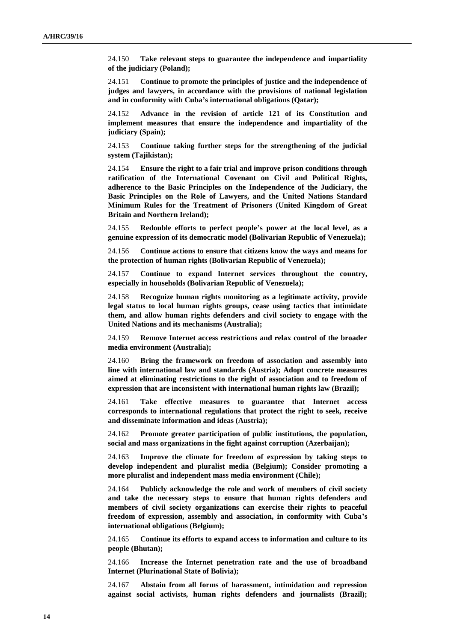24.150 **Take relevant steps to guarantee the independence and impartiality of the judiciary (Poland);**

24.151 **Continue to promote the principles of justice and the independence of judges and lawyers, in accordance with the provisions of national legislation and in conformity with Cuba's international obligations (Qatar);**

24.152 **Advance in the revision of article 121 of its Constitution and implement measures that ensure the independence and impartiality of the judiciary (Spain);**

24.153 **Continue taking further steps for the strengthening of the judicial system (Tajikistan);**

24.154 **Ensure the right to a fair trial and improve prison conditions through ratification of the International Covenant on Civil and Political Rights, adherence to the Basic Principles on the Independence of the Judiciary, the Basic Principles on the Role of Lawyers, and the United Nations Standard Minimum Rules for the Treatment of Prisoners (United Kingdom of Great Britain and Northern Ireland);**

24.155 **Redouble efforts to perfect people's power at the local level, as a genuine expression of its democratic model (Bolivarian Republic of Venezuela);**

24.156 **Continue actions to ensure that citizens know the ways and means for the protection of human rights (Bolivarian Republic of Venezuela);**

24.157 **Continue to expand Internet services throughout the country, especially in households (Bolivarian Republic of Venezuela);**

24.158 **Recognize human rights monitoring as a legitimate activity, provide legal status to local human rights groups, cease using tactics that intimidate them, and allow human rights defenders and civil society to engage with the United Nations and its mechanisms (Australia);**

24.159 **Remove Internet access restrictions and relax control of the broader media environment (Australia);**

24.160 **Bring the framework on freedom of association and assembly into line with international law and standards (Austria); Adopt concrete measures aimed at eliminating restrictions to the right of association and to freedom of expression that are inconsistent with international human rights law (Brazil);** 

24.161 **Take effective measures to guarantee that Internet access corresponds to international regulations that protect the right to seek, receive and disseminate information and ideas (Austria);**

24.162 **Promote greater participation of public institutions, the population, social and mass organizations in the fight against corruption (Azerbaijan);**

24.163 **Improve the climate for freedom of expression by taking steps to develop independent and pluralist media (Belgium); Consider promoting a more pluralist and independent mass media environment (Chile);**

24.164 **Publicly acknowledge the role and work of members of civil society and take the necessary steps to ensure that human rights defenders and members of civil society organizations can exercise their rights to peaceful freedom of expression, assembly and association, in conformity with Cuba's international obligations (Belgium);**

24.165 **Continue its efforts to expand access to information and culture to its people (Bhutan);**

24.166 **Increase the Internet penetration rate and the use of broadband Internet (Plurinational State of Bolivia);**

24.167 **Abstain from all forms of harassment, intimidation and repression against social activists, human rights defenders and journalists (Brazil);**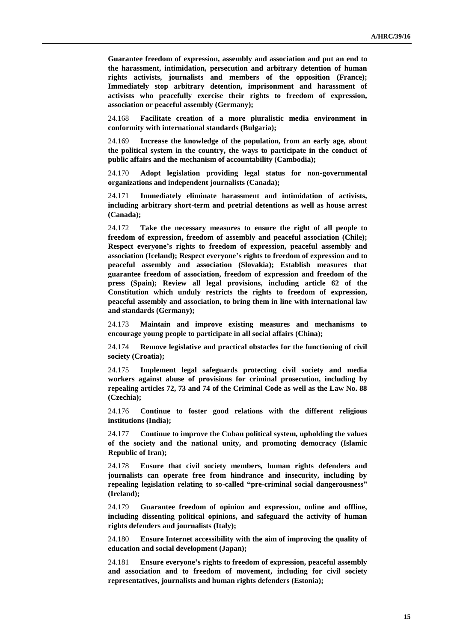**Guarantee freedom of expression, assembly and association and put an end to the harassment, intimidation, persecution and arbitrary detention of human rights activists, journalists and members of the opposition (France); Immediately stop arbitrary detention, imprisonment and harassment of activists who peacefully exercise their rights to freedom of expression, association or peaceful assembly (Germany);**

24.168 **Facilitate creation of a more pluralistic media environment in conformity with international standards (Bulgaria);**

24.169 **Increase the knowledge of the population, from an early age, about the political system in the country, the ways to participate in the conduct of public affairs and the mechanism of accountability (Cambodia);**

24.170 **Adopt legislation providing legal status for non-governmental organizations and independent journalists (Canada);**

24.171 **Immediately eliminate harassment and intimidation of activists, including arbitrary short-term and pretrial detentions as well as house arrest (Canada);**

24.172 **Take the necessary measures to ensure the right of all people to freedom of expression, freedom of assembly and peaceful association (Chile); Respect everyone's rights to freedom of expression, peaceful assembly and association (Iceland); Respect everyone's rights to freedom of expression and to peaceful assembly and association (Slovakia); Establish measures that guarantee freedom of association, freedom of expression and freedom of the press (Spain); Review all legal provisions, including article 62 of the Constitution which unduly restricts the rights to freedom of expression, peaceful assembly and association, to bring them in line with international law and standards (Germany);**

24.173 **Maintain and improve existing measures and mechanisms to encourage young people to participate in all social affairs (China);**

24.174 **Remove legislative and practical obstacles for the functioning of civil society (Croatia);**

24.175 **Implement legal safeguards protecting civil society and media workers against abuse of provisions for criminal prosecution, including by repealing articles 72, 73 and 74 of the Criminal Code as well as the Law No. 88 (Czechia);**

24.176 **Continue to foster good relations with the different religious institutions (India);**

24.177 **Continue to improve the Cuban political system, upholding the values of the society and the national unity, and promoting democracy (Islamic Republic of Iran);**

24.178 **Ensure that civil society members, human rights defenders and journalists can operate free from hindrance and insecurity, including by repealing legislation relating to so-called "pre-criminal social dangerousness" (Ireland);**

24.179 **Guarantee freedom of opinion and expression, online and offline, including dissenting political opinions, and safeguard the activity of human rights defenders and journalists (Italy);**

24.180 **Ensure Internet accessibility with the aim of improving the quality of education and social development (Japan);**

24.181 **Ensure everyone's rights to freedom of expression, peaceful assembly and association and to freedom of movement, including for civil society representatives, journalists and human rights defenders (Estonia);**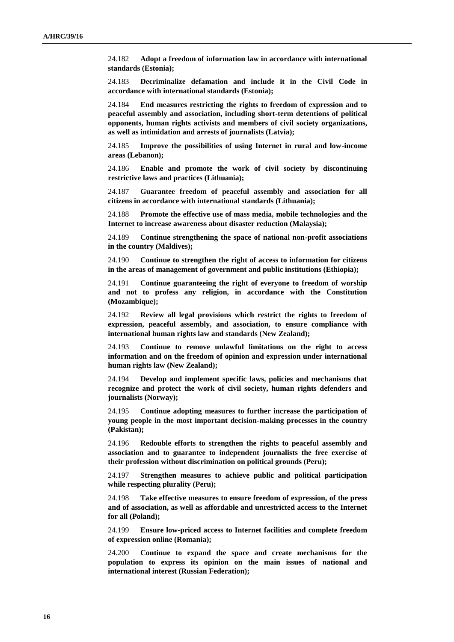24.182 **Adopt a freedom of information law in accordance with international standards (Estonia);**

24.183 **Decriminalize defamation and include it in the Civil Code in accordance with international standards (Estonia);**

24.184 **End measures restricting the rights to freedom of expression and to peaceful assembly and association, including short-term detentions of political opponents, human rights activists and members of civil society organizations, as well as intimidation and arrests of journalists (Latvia);**

24.185 **Improve the possibilities of using Internet in rural and low-income areas (Lebanon);**

24.186 **Enable and promote the work of civil society by discontinuing restrictive laws and practices (Lithuania);**

24.187 **Guarantee freedom of peaceful assembly and association for all citizens in accordance with international standards (Lithuania);**

24.188 **Promote the effective use of mass media, mobile technologies and the Internet to increase awareness about disaster reduction (Malaysia);**

24.189 **Continue strengthening the space of national non-profit associations in the country (Maldives);**

24.190 **Continue to strengthen the right of access to information for citizens in the areas of management of government and public institutions (Ethiopia);**

24.191 **Continue guaranteeing the right of everyone to freedom of worship and not to profess any religion, in accordance with the Constitution (Mozambique);**

24.192 **Review all legal provisions which restrict the rights to freedom of expression, peaceful assembly, and association, to ensure compliance with international human rights law and standards (New Zealand);**

24.193 **Continue to remove unlawful limitations on the right to access information and on the freedom of opinion and expression under international human rights law (New Zealand);**

24.194 **Develop and implement specific laws, policies and mechanisms that recognize and protect the work of civil society, human rights defenders and journalists (Norway);**

24.195 **Continue adopting measures to further increase the participation of young people in the most important decision-making processes in the country (Pakistan);**

24.196 **Redouble efforts to strengthen the rights to peaceful assembly and association and to guarantee to independent journalists the free exercise of their profession without discrimination on political grounds (Peru);**

24.197 **Strengthen measures to achieve public and political participation while respecting plurality (Peru);**

24.198 **Take effective measures to ensure freedom of expression, of the press and of association, as well as affordable and unrestricted access to the Internet for all (Poland);**

24.199 **Ensure low-priced access to Internet facilities and complete freedom of expression online (Romania);**

24.200 **Continue to expand the space and create mechanisms for the population to express its opinion on the main issues of national and international interest (Russian Federation);**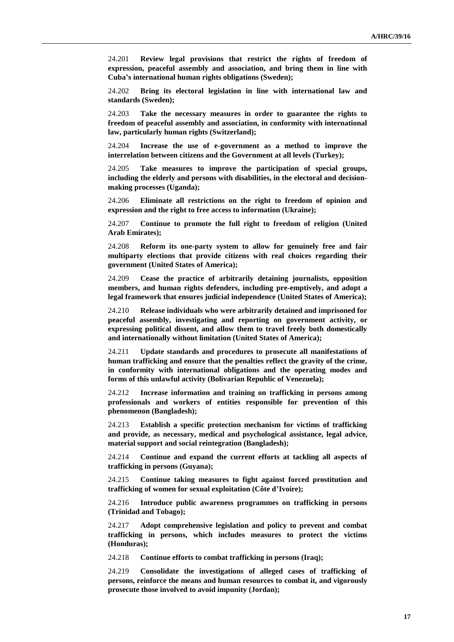24.201 **Review legal provisions that restrict the rights of freedom of expression, peaceful assembly and association, and bring them in line with Cuba's international human rights obligations (Sweden);**

24.202 **Bring its electoral legislation in line with international law and standards (Sweden);**

24.203 **Take the necessary measures in order to guarantee the rights to freedom of peaceful assembly and association, in conformity with international law, particularly human rights (Switzerland);**

24.204 **Increase the use of e-government as a method to improve the interrelation between citizens and the Government at all levels (Turkey);**

24.205 **Take measures to improve the participation of special groups, including the elderly and persons with disabilities, in the electoral and decisionmaking processes (Uganda);**

24.206 **Eliminate all restrictions on the right to freedom of opinion and expression and the right to free access to information (Ukraine);**

24.207 **Continue to promote the full right to freedom of religion (United Arab Emirates);**

24.208 **Reform its one-party system to allow for genuinely free and fair multiparty elections that provide citizens with real choices regarding their government (United States of America);**

24.209 **Cease the practice of arbitrarily detaining journalists, opposition members, and human rights defenders, including pre-emptively, and adopt a legal framework that ensures judicial independence (United States of America);**

24.210 **Release individuals who were arbitrarily detained and imprisoned for peaceful assembly, investigating and reporting on government activity, or expressing political dissent, and allow them to travel freely both domestically and internationally without limitation (United States of America);**

24.211 **Update standards and procedures to prosecute all manifestations of human trafficking and ensure that the penalties reflect the gravity of the crime, in conformity with international obligations and the operating modes and forms of this unlawful activity (Bolivarian Republic of Venezuela);**

24.212 **Increase information and training on trafficking in persons among professionals and workers of entities responsible for prevention of this phenomenon (Bangladesh);**

24.213 **Establish a specific protection mechanism for victims of trafficking and provide, as necessary, medical and psychological assistance, legal advice, material support and social reintegration (Bangladesh);**

24.214 **Continue and expand the current efforts at tackling all aspects of trafficking in persons (Guyana);**

24.215 **Continue taking measures to fight against forced prostitution and trafficking of women for sexual exploitation (Côte d'Ivoire);**

24.216 **Introduce public awareness programmes on trafficking in persons (Trinidad and Tobago);**

24.217 **Adopt comprehensive legislation and policy to prevent and combat trafficking in persons, which includes measures to protect the victims (Honduras);**

24.218 **Continue efforts to combat trafficking in persons (Iraq);**

24.219 **Consolidate the investigations of alleged cases of trafficking of persons, reinforce the means and human resources to combat it, and vigorously prosecute those involved to avoid impunity (Jordan);**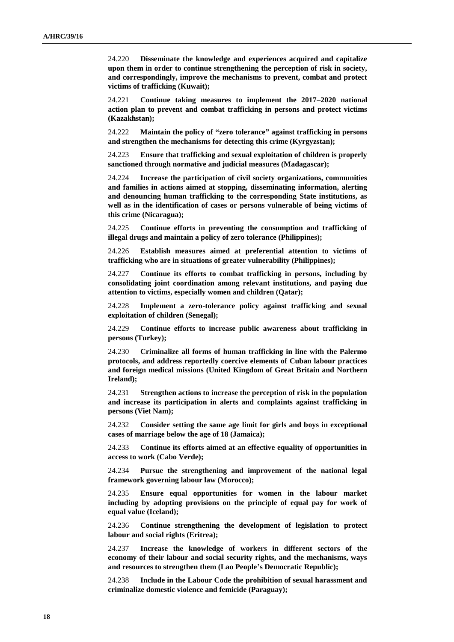24.220 **Disseminate the knowledge and experiences acquired and capitalize upon them in order to continue strengthening the perception of risk in society, and correspondingly, improve the mechanisms to prevent, combat and protect victims of trafficking (Kuwait);**

24.221 **Continue taking measures to implement the 2017–2020 national action plan to prevent and combat trafficking in persons and protect victims (Kazakhstan);**

24.222 **Maintain the policy of "zero tolerance" against trafficking in persons and strengthen the mechanisms for detecting this crime (Kyrgyzstan);**

24.223 **Ensure that trafficking and sexual exploitation of children is properly sanctioned through normative and judicial measures (Madagascar);**

24.224 **Increase the participation of civil society organizations, communities and families in actions aimed at stopping, disseminating information, alerting and denouncing human trafficking to the corresponding State institutions, as well as in the identification of cases or persons vulnerable of being victims of this crime (Nicaragua);**

24.225 **Continue efforts in preventing the consumption and trafficking of illegal drugs and maintain a policy of zero tolerance (Philippines);**

24.226 **Establish measures aimed at preferential attention to victims of trafficking who are in situations of greater vulnerability (Philippines);**

24.227 **Continue its efforts to combat trafficking in persons, including by consolidating joint coordination among relevant institutions, and paying due attention to victims, especially women and children (Qatar);**

24.228 **Implement a zero-tolerance policy against trafficking and sexual exploitation of children (Senegal);**

24.229 **Continue efforts to increase public awareness about trafficking in persons (Turkey);**

24.230 **Criminalize all forms of human trafficking in line with the Palermo protocols, and address reportedly coercive elements of Cuban labour practices and foreign medical missions (United Kingdom of Great Britain and Northern Ireland);**

24.231 **Strengthen actions to increase the perception of risk in the population and increase its participation in alerts and complaints against trafficking in persons (Viet Nam);**

24.232 **Consider setting the same age limit for girls and boys in exceptional cases of marriage below the age of 18 (Jamaica);**

24.233 **Continue its efforts aimed at an effective equality of opportunities in access to work (Cabo Verde);**

24.234 **Pursue the strengthening and improvement of the national legal framework governing labour law (Morocco);**

24.235 **Ensure equal opportunities for women in the labour market including by adopting provisions on the principle of equal pay for work of equal value (Iceland);**

24.236 **Continue strengthening the development of legislation to protect labour and social rights (Eritrea);**

24.237 **Increase the knowledge of workers in different sectors of the economy of their labour and social security rights, and the mechanisms, ways and resources to strengthen them (Lao People's Democratic Republic);**

24.238 **Include in the Labour Code the prohibition of sexual harassment and criminalize domestic violence and femicide (Paraguay);**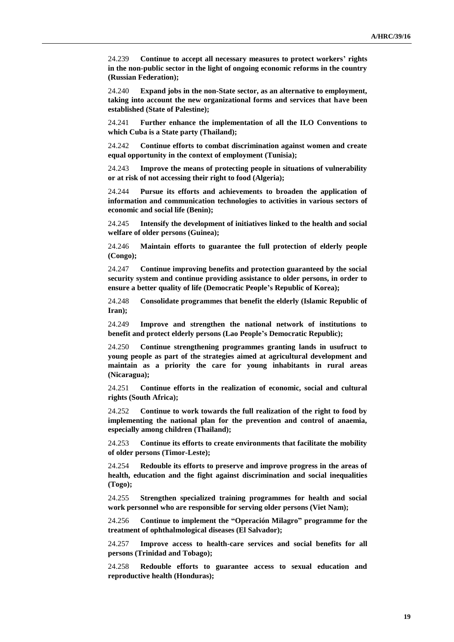24.239 **Continue to accept all necessary measures to protect workers' rights in the non-public sector in the light of ongoing economic reforms in the country (Russian Federation);**

24.240 **Expand jobs in the non-State sector, as an alternative to employment, taking into account the new organizational forms and services that have been established (State of Palestine);**

24.241 **Further enhance the implementation of all the ILO Conventions to which Cuba is a State party (Thailand);**

24.242 **Continue efforts to combat discrimination against women and create equal opportunity in the context of employment (Tunisia);**

24.243 **Improve the means of protecting people in situations of vulnerability or at risk of not accessing their right to food (Algeria);**

24.244 **Pursue its efforts and achievements to broaden the application of information and communication technologies to activities in various sectors of economic and social life (Benin);**

24.245 **Intensify the development of initiatives linked to the health and social welfare of older persons (Guinea);**

24.246 **Maintain efforts to guarantee the full protection of elderly people (Congo);**

24.247 **Continue improving benefits and protection guaranteed by the social security system and continue providing assistance to older persons, in order to ensure a better quality of life (Democratic People's Republic of Korea);**

24.248 **Consolidate programmes that benefit the elderly (Islamic Republic of Iran);**

24.249 **Improve and strengthen the national network of institutions to benefit and protect elderly persons (Lao People's Democratic Republic);**

24.250 **Continue strengthening programmes granting lands in usufruct to young people as part of the strategies aimed at agricultural development and maintain as a priority the care for young inhabitants in rural areas (Nicaragua);**

24.251 **Continue efforts in the realization of economic, social and cultural rights (South Africa);**

24.252 **Continue to work towards the full realization of the right to food by implementing the national plan for the prevention and control of anaemia, especially among children (Thailand);**

24.253 **Continue its efforts to create environments that facilitate the mobility of older persons (Timor-Leste);**

24.254 **Redouble its efforts to preserve and improve progress in the areas of health, education and the fight against discrimination and social inequalities (Togo);**

24.255 **Strengthen specialized training programmes for health and social work personnel who are responsible for serving older persons (Viet Nam);**

24.256 **Continue to implement the "Operación Milagro" programme for the treatment of ophthalmological diseases (El Salvador);**

24.257 **Improve access to health-care services and social benefits for all persons (Trinidad and Tobago);**

24.258 **Redouble efforts to guarantee access to sexual education and reproductive health (Honduras);**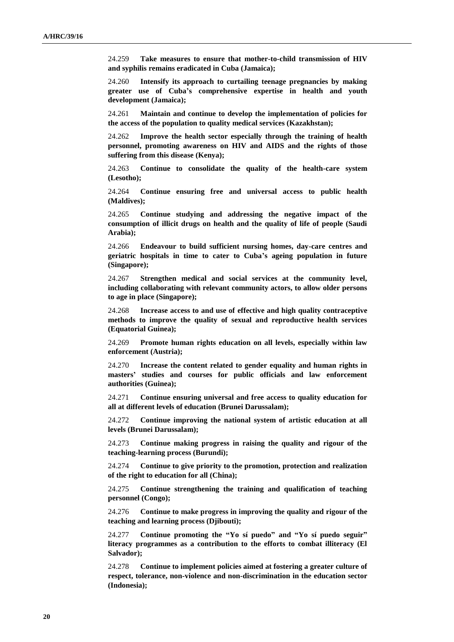24.259 **Take measures to ensure that mother-to-child transmission of HIV and syphilis remains eradicated in Cuba (Jamaica);**

24.260 **Intensify its approach to curtailing teenage pregnancies by making greater use of Cuba's comprehensive expertise in health and youth development (Jamaica);**

24.261 **Maintain and continue to develop the implementation of policies for the access of the population to quality medical services (Kazakhstan);**

24.262 **Improve the health sector especially through the training of health personnel, promoting awareness on HIV and AIDS and the rights of those suffering from this disease (Kenya);**

24.263 **Continue to consolidate the quality of the health-care system (Lesotho);**

24.264 **Continue ensuring free and universal access to public health (Maldives);**

24.265 **Continue studying and addressing the negative impact of the consumption of illicit drugs on health and the quality of life of people (Saudi Arabia);**

24.266 **Endeavour to build sufficient nursing homes, day-care centres and geriatric hospitals in time to cater to Cuba's ageing population in future (Singapore);**

24.267 **Strengthen medical and social services at the community level, including collaborating with relevant community actors, to allow older persons to age in place (Singapore);**

24.268 **Increase access to and use of effective and high quality contraceptive methods to improve the quality of sexual and reproductive health services (Equatorial Guinea);**

24.269 **Promote human rights education on all levels, especially within law enforcement (Austria);**

24.270 **Increase the content related to gender equality and human rights in masters' studies and courses for public officials and law enforcement authorities (Guinea);**

24.271 **Continue ensuring universal and free access to quality education for all at different levels of education (Brunei Darussalam);**

24.272 **Continue improving the national system of artistic education at all levels (Brunei Darussalam);**

24.273 **Continue making progress in raising the quality and rigour of the teaching-learning process (Burundi);**

24.274 **Continue to give priority to the promotion, protection and realization of the right to education for all (China);**

24.275 **Continue strengthening the training and qualification of teaching personnel (Congo);**

24.276 **Continue to make progress in improving the quality and rigour of the teaching and learning process (Djibouti);**

24.277 **Continue promoting the "Yo sí puedo" and "Yo sí puedo seguir" literacy programmes as a contribution to the efforts to combat illiteracy (El Salvador);**

24.278 **Continue to implement policies aimed at fostering a greater culture of respect, tolerance, non-violence and non-discrimination in the education sector (Indonesia);**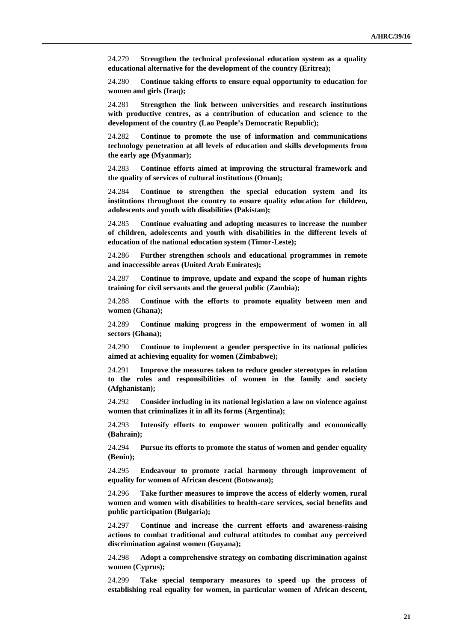24.279 **Strengthen the technical professional education system as a quality educational alternative for the development of the country (Eritrea);**

24.280 **Continue taking efforts to ensure equal opportunity to education for women and girls (Iraq);**

24.281 **Strengthen the link between universities and research institutions with productive centres, as a contribution of education and science to the development of the country (Lao People's Democratic Republic);**

24.282 **Continue to promote the use of information and communications technology penetration at all levels of education and skills developments from the early age (Myanmar);**

24.283 **Continue efforts aimed at improving the structural framework and the quality of services of cultural institutions (Oman);**

24.284 **Continue to strengthen the special education system and its institutions throughout the country to ensure quality education for children, adolescents and youth with disabilities (Pakistan);**

24.285 **Continue evaluating and adopting measures to increase the number of children, adolescents and youth with disabilities in the different levels of education of the national education system (Timor-Leste);**

24.286 **Further strengthen schools and educational programmes in remote and inaccessible areas (United Arab Emirates);**

24.287 **Continue to improve, update and expand the scope of human rights training for civil servants and the general public (Zambia);**

24.288 **Continue with the efforts to promote equality between men and women (Ghana);**

24.289 **Continue making progress in the empowerment of women in all sectors (Ghana);**

24.290 **Continue to implement a gender perspective in its national policies aimed at achieving equality for women (Zimbabwe);**

24.291 **Improve the measures taken to reduce gender stereotypes in relation to the roles and responsibilities of women in the family and society (Afghanistan);**

24.292 **Consider including in its national legislation a law on violence against women that criminalizes it in all its forms (Argentina);**

24.293 **Intensify efforts to empower women politically and economically (Bahrain);**

24.294 **Pursue its efforts to promote the status of women and gender equality (Benin);**

24.295 **Endeavour to promote racial harmony through improvement of equality for women of African descent (Botswana);**

24.296 **Take further measures to improve the access of elderly women, rural women and women with disabilities to health-care services, social benefits and public participation (Bulgaria);**

24.297 **Continue and increase the current efforts and awareness-raising actions to combat traditional and cultural attitudes to combat any perceived discrimination against women (Guyana);**

24.298 **Adopt a comprehensive strategy on combating discrimination against women (Cyprus);**

24.299 **Take special temporary measures to speed up the process of establishing real equality for women, in particular women of African descent,**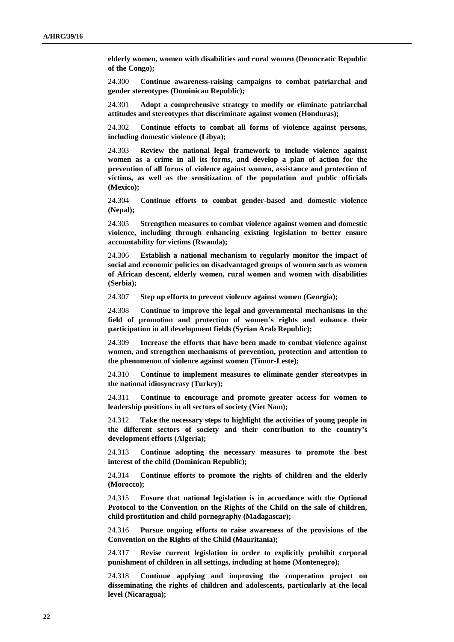**elderly women, women with disabilities and rural women (Democratic Republic of the Congo);**

24.300 **Continue awareness-raising campaigns to combat patriarchal and gender stereotypes (Dominican Republic);**

24.301 **Adopt a comprehensive strategy to modify or eliminate patriarchal attitudes and stereotypes that discriminate against women (Honduras);**

24.302 **Continue efforts to combat all forms of violence against persons, including domestic violence (Libya);**

24.303 **Review the national legal framework to include violence against women as a crime in all its forms, and develop a plan of action for the prevention of all forms of violence against women, assistance and protection of victims, as well as the sensitization of the population and public officials (Mexico);**

24.304 **Continue efforts to combat gender-based and domestic violence (Nepal);**

24.305 **Strengthen measures to combat violence against women and domestic violence, including through enhancing existing legislation to better ensure accountability for victims (Rwanda);**

24.306 **Establish a national mechanism to regularly monitor the impact of social and economic policies on disadvantaged groups of women such as women of African descent, elderly women, rural women and women with disabilities (Serbia);**

24.307 **Step up efforts to prevent violence against women (Georgia);**

24.308 **Continue to improve the legal and governmental mechanisms in the field of promotion and protection of women's rights and enhance their participation in all development fields (Syrian Arab Republic);**

24.309 **Increase the efforts that have been made to combat violence against women, and strengthen mechanisms of prevention, protection and attention to the phenomenon of violence against women (Timor-Leste);**

24.310 **Continue to implement measures to eliminate gender stereotypes in the national idiosyncrasy (Turkey);**

24.311 **Continue to encourage and promote greater access for women to leadership positions in all sectors of society (Viet Nam);**

24.312 **Take the necessary steps to highlight the activities of young people in the different sectors of society and their contribution to the country's development efforts (Algeria);**

24.313 **Continue adopting the necessary measures to promote the best interest of the child (Dominican Republic);**

24.314 **Continue efforts to promote the rights of children and the elderly (Morocco);**

24.315 **Ensure that national legislation is in accordance with the Optional Protocol to the Convention on the Rights of the Child on the sale of children, child prostitution and child pornography (Madagascar);**

24.316 **Pursue ongoing efforts to raise awareness of the provisions of the Convention on the Rights of the Child (Mauritania);**

24.317 **Revise current legislation in order to explicitly prohibit corporal punishment of children in all settings, including at home (Montenegro);**

24.318 **Continue applying and improving the cooperation project on disseminating the rights of children and adolescents, particularly at the local level (Nicaragua);**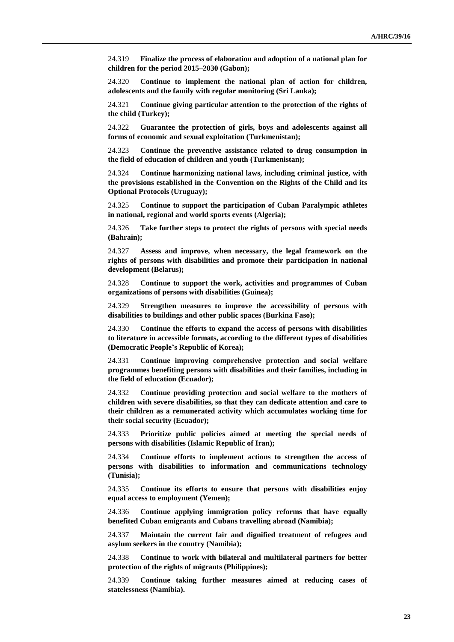24.319 **Finalize the process of elaboration and adoption of a national plan for children for the period 2015–2030 (Gabon);**

24.320 **Continue to implement the national plan of action for children, adolescents and the family with regular monitoring (Sri Lanka);**

24.321 **Continue giving particular attention to the protection of the rights of the child (Turkey);**

24.322 **Guarantee the protection of girls, boys and adolescents against all forms of economic and sexual exploitation (Turkmenistan);**

24.323 **Continue the preventive assistance related to drug consumption in the field of education of children and youth (Turkmenistan);**

24.324 **Continue harmonizing national laws, including criminal justice, with the provisions established in the Convention on the Rights of the Child and its Optional Protocols (Uruguay);**

24.325 **Continue to support the participation of Cuban Paralympic athletes in national, regional and world sports events (Algeria);**

24.326 **Take further steps to protect the rights of persons with special needs (Bahrain);**

24.327 **Assess and improve, when necessary, the legal framework on the rights of persons with disabilities and promote their participation in national development (Belarus);**

24.328 **Continue to support the work, activities and programmes of Cuban organizations of persons with disabilities (Guinea);**

24.329 **Strengthen measures to improve the accessibility of persons with disabilities to buildings and other public spaces (Burkina Faso);**

24.330 **Continue the efforts to expand the access of persons with disabilities to literature in accessible formats, according to the different types of disabilities (Democratic People's Republic of Korea);**

24.331 **Continue improving comprehensive protection and social welfare programmes benefiting persons with disabilities and their families, including in the field of education (Ecuador);**

24.332 **Continue providing protection and social welfare to the mothers of children with severe disabilities, so that they can dedicate attention and care to their children as a remunerated activity which accumulates working time for their social security (Ecuador);**

24.333 **Prioritize public policies aimed at meeting the special needs of persons with disabilities (Islamic Republic of Iran);**

24.334 **Continue efforts to implement actions to strengthen the access of persons with disabilities to information and communications technology (Tunisia);**

24.335 **Continue its efforts to ensure that persons with disabilities enjoy equal access to employment (Yemen);**

24.336 **Continue applying immigration policy reforms that have equally benefited Cuban emigrants and Cubans travelling abroad (Namibia);**

24.337 **Maintain the current fair and dignified treatment of refugees and asylum seekers in the country (Namibia);**

24.338 **Continue to work with bilateral and multilateral partners for better protection of the rights of migrants (Philippines);**

24.339 **Continue taking further measures aimed at reducing cases of statelessness (Namibia).**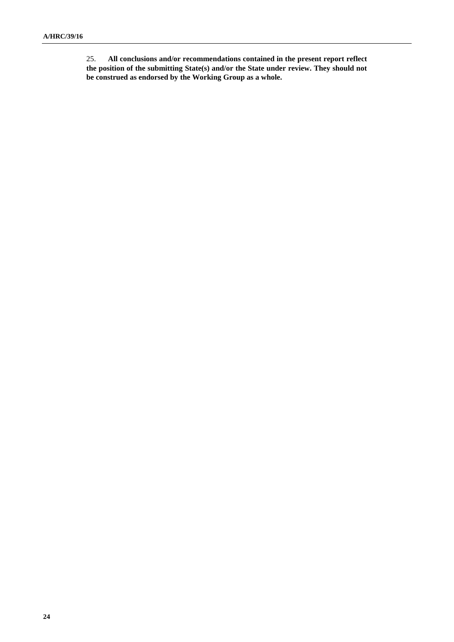25. **All conclusions and/or recommendations contained in the present report reflect the position of the submitting State(s) and/or the State under review. They should not be construed as endorsed by the Working Group as a whole.**